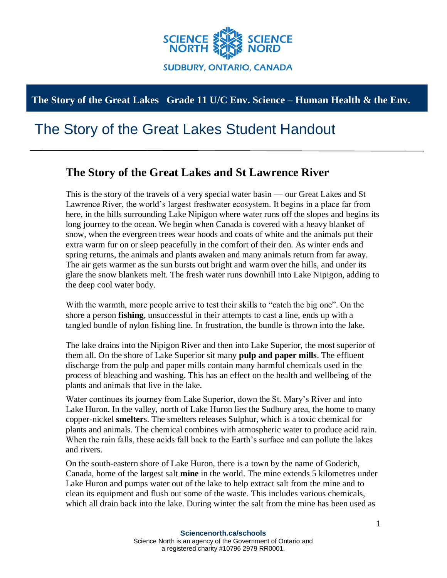

## **The Story of the Great Lakes Grade 11 U/C Env. Science – Human Health & the Env.**

## The Story of the Great Lakes Student Handout

## **The Story of the Great Lakes and St Lawrence River**

This is the story of the travels of a very special water basin — our Great Lakes and St Lawrence River, the world's largest freshwater ecosystem. It begins in a place far from here, in the hills surrounding Lake Nipigon where water runs off the slopes and begins its long journey to the ocean. We begin when Canada is covered with a heavy blanket of snow, when the evergreen trees wear hoods and coats of white and the animals put their extra warm fur on or sleep peacefully in the comfort of their den. As winter ends and spring returns, the animals and plants awaken and many animals return from far away. The air gets warmer as the sun bursts out bright and warm over the hills, and under its glare the snow blankets melt. The fresh water runs downhill into Lake Nipigon, adding to the deep cool water body.

With the warmth, more people arrive to test their skills to "catch the big one". On the shore a person **fishing**, unsuccessful in their attempts to cast a line, ends up with a tangled bundle of nylon fishing line. In frustration, the bundle is thrown into the lake.

The lake drains into the Nipigon River and then into Lake Superior, the most superior of them all. On the shore of Lake Superior sit many **pulp and paper mills**. The effluent discharge from the pulp and paper mills contain many harmful chemicals used in the process of bleaching and washing. This has an effect on the health and wellbeing of the plants and animals that live in the lake.

Water continues its journey from Lake Superior, down the St. Mary's River and into Lake Huron. In the valley, north of Lake Huron lies the Sudbury area, the home to many copper-nickel **smelter**s. The smelters releases Sulphur, which is a toxic chemical for plants and animals. The chemical combines with atmospheric water to produce acid rain. When the rain falls, these acids fall back to the Earth's surface and can pollute the lakes and rivers.

On the south-eastern shore of Lake Huron, there is a town by the name of Goderich, Canada, home of the largest salt **mine** in the world. The mine extends 5 kilometres under Lake Huron and pumps water out of the lake to help extract salt from the mine and to clean its equipment and flush out some of the waste. This includes various chemicals, which all drain back into the lake. During winter the salt from the mine has been used as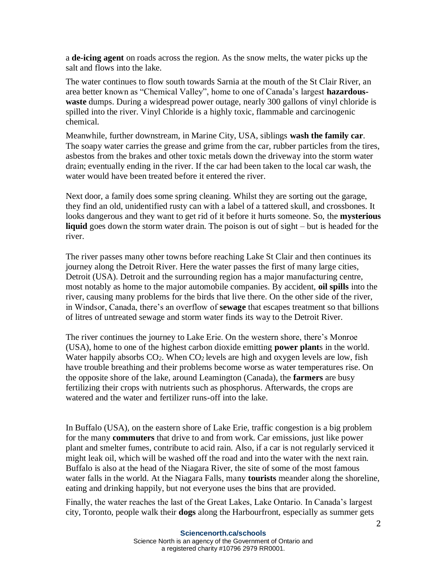a **de-icing agent** on roads across the region. As the snow melts, the water picks up the salt and flows into the lake.

The water continues to flow south towards Sarnia at the mouth of the St Clair River, an area better known as "Chemical Valley", home to one of Canada's largest **hazardouswaste** dumps. During a widespread power outage, nearly 300 gallons of vinyl chloride is spilled into the river. Vinyl Chloride is a highly toxic, flammable and carcinogenic chemical.

Meanwhile, further downstream, in Marine City, USA, siblings **wash the family car**. The soapy water carries the grease and grime from the car, rubber particles from the tires, asbestos from the brakes and other toxic metals down the driveway into the storm water drain; eventually ending in the river. If the car had been taken to the local car wash, the water would have been treated before it entered the river.

Next door, a family does some spring cleaning. Whilst they are sorting out the garage, they find an old, unidentified rusty can with a label of a tattered skull, and crossbones. It looks dangerous and they want to get rid of it before it hurts someone. So, the **mysterious liquid** goes down the storm water drain. The poison is out of sight – but is headed for the river.

The river passes many other towns before reaching Lake St Clair and then continues its journey along the Detroit River. Here the water passes the first of many large cities, Detroit (USA). Detroit and the surrounding region has a major manufacturing centre, most notably as home to the major automobile companies. By accident, **oil spills** into the river, causing many problems for the birds that live there. On the other side of the river, in Windsor, Canada, there's an overflow of **sewage** that escapes treatment so that billions of litres of untreated sewage and storm water finds its way to the Detroit River.

The river continues the journey to Lake Erie. On the western shore, there's Monroe (USA), home to one of the highest carbon dioxide emitting **power plant**s in the world. Water happily absorbs  $CO<sub>2</sub>$ . When  $CO<sub>2</sub>$  levels are high and oxygen levels are low, fish have trouble breathing and their problems become worse as water temperatures rise. On the opposite shore of the lake, around Leamington (Canada), the **farmers** are busy fertilizing their crops with nutrients such as phosphorus. Afterwards, the crops are watered and the water and fertilizer runs-off into the lake.

In Buffalo (USA), on the eastern shore of Lake Erie, traffic congestion is a big problem for the many **commuters** that drive to and from work. Car emissions, just like power plant and smelter fumes, contribute to acid rain. Also, if a car is not regularly serviced it might leak oil, which will be washed off the road and into the water with the next rain. Buffalo is also at the head of the Niagara River, the site of some of the most famous water falls in the world. At the Niagara Falls, many **tourists** meander along the shoreline, eating and drinking happily, but not everyone uses the bins that are provided.

Finally, the water reaches the last of the Great Lakes, Lake Ontario. In Canada's largest city, Toronto, people walk their **dogs** along the Harbourfront, especially as summer gets